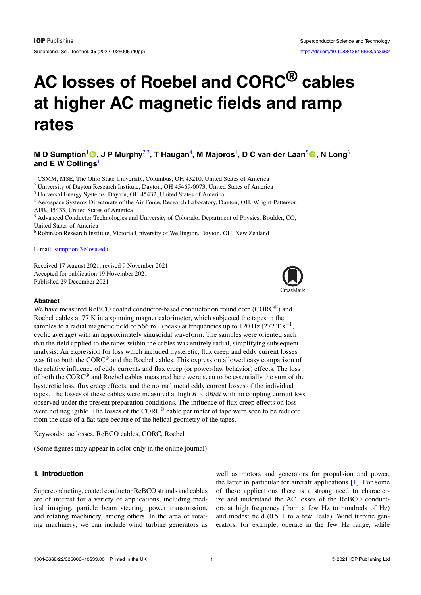Supercond. Sci. Technol. **35** (2022) 025006 (10pp) <https://doi.org/10.1088/1361-6668/ac3b62>

# **AC losses of Roebel and CORC® cables at higher AC magnetic fields and ramp rates**

# **M** D Sumption $^1$  $^1$  , J P Murphy $^{2,3}$  $^{2,3}$  $^{2,3}$  $^{2,3}$ , T Haugan $^4$  $^4$ , M Majoros $^1$ , D C van der Laan $^5$  $^5$  , N Long $^6$  $^6$ **and E W Collings**[1](#page-0-0)

<sup>1</sup> CSMM, MSE, The Ohio State University, Columbus, OH 43210, United States of America

<span id="page-0-0"></span><sup>2</sup> University of Dayton Research Institute, Dayton, OH 45469-0073, United States of America

<span id="page-0-1"></span><sup>3</sup> Universal Energy Systems, Dayton, OH 45432, United States of America

<span id="page-0-3"></span><span id="page-0-2"></span><sup>4</sup> Aerospace Systems Directorate of the Air Force, Research Laboratory, Dayton, OH, Wright-Patterson AFB, 45433, United States of America

<span id="page-0-4"></span><sup>5</sup> Advanced Conductor Technologies and University of Colorado, Department of Physics, Boulder, CO, United States of America

<span id="page-0-5"></span><sup>6</sup> Robinson Research Institute, Victoria University of Wellington, Dayton, OH, New Zealand

E-mail: [sumption.3@osu.edu](mailto:sumption.3@osu.edu)

Received 17 August 2021, revised 9 November 2021 Accepted for publication 19 November 2021 Published 29 December 2021



#### **Abstract**

We have measured ReBCO coated conductor-based conductor on round core (CORC<sup>®</sup>) and Roebel cables at 77 K in a spinning magnet calorimeter, which subjected the tapes in the samples to a radial magnetic field of 566 mT (peak) at frequencies up to 120 Hz (272 T s*−*<sup>1</sup> , cyclic average) with an approximately sinusoidal waveform. The samples were oriented such that the field applied to the tapes within the cables was entirely radial, simplifying subsequent analysis. An expression for loss which included hysteretic, flux creep and eddy current losses was fit to both the CORC® and the Roebel cables. This expression allowed easy comparison of the relative influence of eddy currents and flux creep (or power-law behavior) effects. The loss of both the CORC**®** and Roebel cables measured here were seen to be essentially the sum of the hysteretic loss, flux creep effects, and the normal metal eddy current losses of the individual tapes. The losses of these cables were measured at high  $B \times dB/dt$  with no coupling current loss observed under the present preparation conditions. The influence of flux creep effects on loss were not negligible. The losses of the CORC® cable per meter of tape were seen to be reduced from the case of a flat tape because of the helical geometry of the tapes.

Keywords: ac losses, ReBCO cables, CORC, Roebel

(Some figures may appear in color only in the online journal)

## **1. Introduction**

Superconducting, coated conductor ReBCO strands and cables are of interest for a variety of applications, including medical imaging, particle beam steering, power transmission, and rotating machinery, among others. In the area of rotating machinery, we can include wind turbine generators as well as motors and generators for propulsion and power, the latter in particular for aircraft applications [\[1](#page-8-0)]. For some of these applications there is a strong need to characterize and understand the AC losses of the ReBCO conductors at high frequency (from a few Hz to hundreds of Hz) and modest field (0.5 T to a few Tesla). Wind turbine generators, for example, operate in the few Hz range, while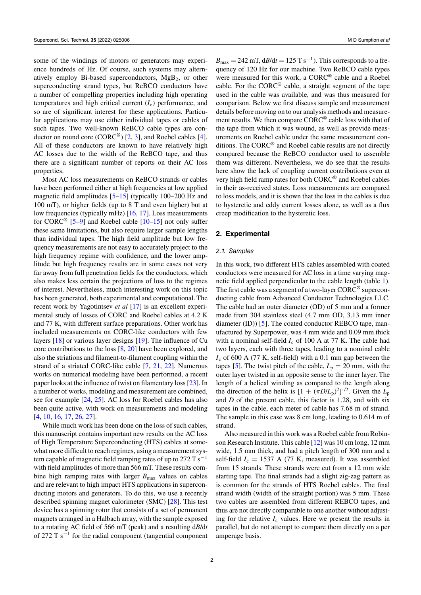some of the windings of motors or generators may experience hundreds of Hz. Of course, such systems may alternatively employ Bi-based superconductors, MgB2, or other superconducting strand types, but ReBCO conductors have a number of compelling properties including high operating temperatures and high critical current  $(I_c)$  performance, and so are of significant interest for these applications. Particular applications may use either individual tapes or cables of such tapes. Two well-known ReBCO cable types are conductor on round core (CORC**®**) [\[2](#page-8-1), [3](#page-8-2)], and Roebel cables[[4\]](#page-8-3). All of these conductors are known to have relatively high AC losses due to the width of the ReBCO tape, and thus there are a significant number of reports on their AC loss properties.

Most AC loss measurements on ReBCO strands or cables have been performed either at high frequencies at low applied magnetic field amplitudes[[5–](#page-8-4)[15\]](#page-8-5) (typically 100–200 Hz and 100 mT), or higher fields (up to 8 T and even higher) but at low frequencies (typically mHz) [\[16](#page-8-6), [17](#page-8-7)]. Loss measurements for CORC<sup>®</sup> [[5–](#page-8-4)[9\]](#page-8-8)and Roebel cable [[10–](#page-8-9)[15\]](#page-8-5) not only suffer these same limitations, but also require larger sample lengths than individual tapes. The high field amplitude but low frequency measurements are not easy to accurately project to the high frequency regime with confidence, and the lower amplitude but high frequency results are in some cases not very far away from full penetration fields for the conductors, which also makes less certain the projections of loss to the regimes of interest. Nevertheless, much interesting work on this topic has been generated, both experimental and computational. The recent work by Yagotintsev *et al* [\[17](#page-8-7)] is an excellent experimental study of losses of CORC and Roebel cables at 4.2 K and 77 K, with different surface preparations. Other work has included measurements on CORC-like conductors with few layers[[18\]](#page-8-10) or various layer designs [\[19](#page-8-11)]. The influence of Cu core contributions to the loss  $[8, 20]$  $[8, 20]$  $[8, 20]$  have been explored, and also the striations and filament-to-filament coupling within the strand of a striated CORC-like cable[[7,](#page-8-14) [21,](#page-8-15) [22\]](#page-8-16). Numerous works on numerical modeling have been performed, a recent paper looks at the influence of twist on filamentary loss[[23\]](#page-8-17). In a number of works, modeling and measurement are combined, see for example [\[24](#page-8-18), [25\]](#page-8-19). AC loss for Roebel cables has also been quite active, with work on measurements and modeling [\[4](#page-8-3), [10](#page-8-9), [16](#page-8-6), [17](#page-8-7), [26](#page-8-20), [27](#page-8-21)].

While much work has been done on the loss of such cables, this manuscript contains important new results on the AC loss of High Temperature Superconducting (HTS) cables at somewhat more difficult to reach regimes, using a measurement system capable of magnetic field ramping rates of up to 272 T s*−*<sup>1</sup> with field amplitudes of more than 566 mT. These results combine high ramping rates with larger  $B_{\text{max}}$  values on cables and are relevant to high impact HTS applications in superconducting motors and generators. To do this, we use a recently described spinning magnet calorimeter (SMC)[[28\]](#page-8-22). This test device has a spinning rotor that consists of a set of permanent magnets arranged in a Halbach array, with the sample exposed to a rotating AC field of 566 mT (peak) and a resulting d*B*/d*t* of 272 T s*−*<sup>1</sup> for the radial component (tangential component

 $B_{\text{max}} = 242 \text{ mT}, \text{dB/d}t = 125 \text{ T s}^{-1}$ ). This corresponds to a frequency of 120 Hz for our machine. Two ReBCO cable types were measured for this work, a CORC® cable and a Roebel cable. For the CORC® cable, a straight segment of the tape used in the cable was available, and was thus measured for comparison. Below we first discuss sample and measurement details before moving on to our analysis methods and measurement results. We then compare CORC® cable loss with that of the tape from which it was wound, as well as provide measurements on Roebel cable under the same measurement conditions. The CORC® and Roebel cable results are not directly compared because the ReBCO conductor used to assemble them was different. Nevertheless, we do see that the results here show the lack of coupling current contributions even at very high field ramp rates for both CORC® and Roebel cables in their as-received states. Loss measurements are compared to loss models, and it is shown that the loss in the cables is due to hysteretic and eddy current losses alone, as well as a flux creep modification to the hysteretic loss.

#### **2. Experimental**

#### *2.1. Samples*

In this work, two different HTS cables assembled with coated conductors were measured for AC loss in a time varying magnetic field applied perpendicular to the cable length (table [1\)](#page-2-0). The first cable was a segment of a two-layer CORC**®** superconducting cable from Advanced Conductor Technologies LLC. The cable had an outer diameter (OD) of 5 mm and a former made from 304 stainless steel (4.7 mm OD, 3.13 mm inner diameter (ID))[[5\]](#page-8-4). The coated conductor REBCO tape, manufactured by Superpower, was 4 mm wide and 0.09 mm thick with a nominal self-field  $I_c$  of 100 A at 77 K. The cable had two layers, each with three tapes, leading to a nominal cable *I*<sup>c</sup> of 600 A (77 K, self-field) with a 0.1 mm gap between the tapes [\[5](#page-8-4)]. The twist pitch of the cable,  $L_p = 20$  mm, with the outer layer twisted in an opposite sense to the inner layer. The length of a helical winding as compared to the length along the direction of the helix is  $[1 + (\pi D/L_p)^2]^{1/2}$ . Given the  $L_p$ and *D* of the present cable, this factor is 1.28, and with six tapes in the cable, each meter of cable has 7.68 m of strand. The sample in this case was 8 cm long, leading to 0.614 m of strand.

Also measured in this work was a Roebel cable from Robinson Research Institute. This cable [\[12](#page-8-23)] was 10 cm long, 12 mm wide, 1.5 mm thick, and had a pitch length of 300 mm and a self-field  $I_c = 1537$  A (77 K, measured). It was assembled from 15 strands. These strands were cut from a 12 mm wide starting tape. The final strands had a slight zig-zag pattern as is common for the strands of HTS Roebel cables. The final strand width (width of the straight portion) was 5 mm. These two cables are assembled from different REBCO tapes, and thus are not directly comparable to one another without adjusting for the relative  $I_c$  values. Here we present the results in parallel, but do not attempt to compare them directly on a per amperage basis.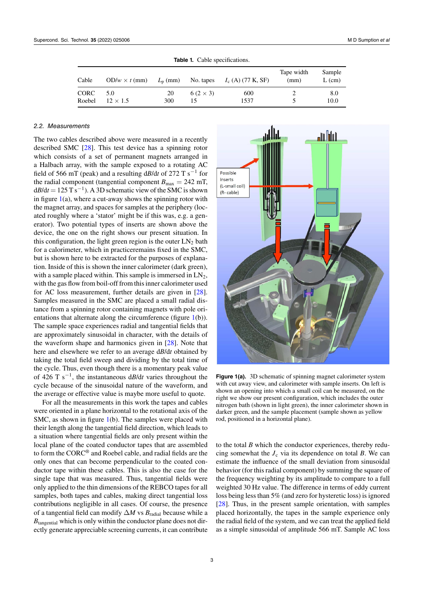<span id="page-2-0"></span>

| <b>Table 1.</b> Cable specifications. |                        |           |                     |                                                               |                    |                    |
|---------------------------------------|------------------------|-----------|---------------------|---------------------------------------------------------------|--------------------|--------------------|
| Cable                                 |                        |           |                     | $OD/w \times t$ (mm) $L_p$ (mm) No. tapes $I_c(A)$ (77 K, SF) | Tape width<br>(mm) | Sample<br>$L$ (cm) |
| CORC<br>Roebel                        | 5.0<br>$12 \times 1.5$ | 20<br>300 | $6(2\times3)$<br>15 | 600<br>1537                                                   |                    | 8.0<br>10.0        |

**Table 1.** Cable specifications.

#### *2.2. Measurements*

The two cables described above were measured in a recently described SMC [\[28](#page-8-22)]. This test device has a spinning rotor which consists of a set of permanent magnets arranged in a Halbach array, with the sample exposed to a rotating AC field of 566 mT (peak) and a resulting d*B*/d*t* of 272 T s*−*<sup>1</sup> for the radial component (tangential component  $B_{\text{max}} = 242 \text{ mT}$ , d*B*/d*t* = 125 T s*−*<sup>1</sup> ). A 3D schematic view of the SMC is shown in figure  $1(a)$  $1(a)$ , where a cut-away shows the spinning rotor with the magnet array, and spaces for samples at the periphery (located roughly where a 'stator' might be if this was, e.g. a generator). Two potential types of inserts are shown above the device, the one on the right shows our present situation. In this configuration, the light green region is the outer  $LN<sub>2</sub>$  bath for a calorimeter, which in practiceremains fixed in the SMC, but is shown here to be extracted for the purposes of explanation. Inside of this is shown the inner calorimeter (dark green), with a sample placed within. This sample is immersed in  $LN<sub>2</sub>$ , with the gas flow from boil-off from this inner calorimeter used for AC loss measurement, further details are given in[[28\]](#page-8-22). Samples measured in the SMC are placed a small radial distance from a spinning rotor containing magnets with pole ori-entations that alternate along the circumference (figure [1](#page-2-1)(b)). The sample space experiences radial and tangential fields that are approximately sinusoidal in character, with the details of the waveform shape and harmonics given in [\[28](#page-8-22)]. Note that here and elsewhere we refer to an average d*B*/d*t* obtained by taking the total field sweep and dividing by the total time of the cycle. Thus, even though there is a momentary peak value of 426 T s*−*<sup>1</sup> , the instantaneous d*B*/d*t* varies throughout the cycle because of the sinusoidal nature of the waveform, and the average or effective value is maybe more useful to quote.

For all the measurements in this work the tapes and cables were oriented in a plane horizontal to the rotational axis of the SMC, as shown in figure [1](#page-2-1)(b). The samples were placed with their length along the tangential field direction, which leads to a situation where tangential fields are only present within the local plane of the coated conductor tapes that are assembled to form the CORC® and Roebel cable, and radial fields are the only ones that can become perpendicular to the coated conductor tape within these cables. This is also the case for the single tape that was measured. Thus, tangential fields were only applied to the thin dimensions of the REBCO tapes for all samples, both tapes and cables, making direct tangential loss contributions negligible in all cases. Of course, the presence of a tangential field can modify ∆*M* vs *B*radial because while a  $B<sub>tangential</sub>$  which is only within the conductor plane does not directly generate appreciable screening currents, it can contribute

<span id="page-2-1"></span>

**Figure 1(a).** 3D schematic of spinning magnet calorimeter system with cut away view, and calorimeter with sample inserts. On left is shown an opening into which a small coil can be measured, on the right we show our present configuration, which includes the outer nitrogen bath (shown in light green), the inner calorimeter shown in darker green, and the sample placement (sample shown as yellow rod, positioned in a horizontal plane).

to the total *B* which the conductor experiences, thereby reducing somewhat the  $J_c$  via its dependence on total *B*. We can estimate the influence of the small deviation from sinusoidal behavior (for this radial component) by summing the square of the frequency weighting by its amplitude to compare to a full weighted 30 Hz value. The difference in terms of eddy current loss being less than 5% (and zero for hysteretic loss) is ignored [[28\]](#page-8-22). Thus, in the present sample orientation, with samples placed horizontally, the tapes in the sample experience only the radial field of the system, and we can treat the applied field as a simple sinusoidal of amplitude 566 mT. Sample AC loss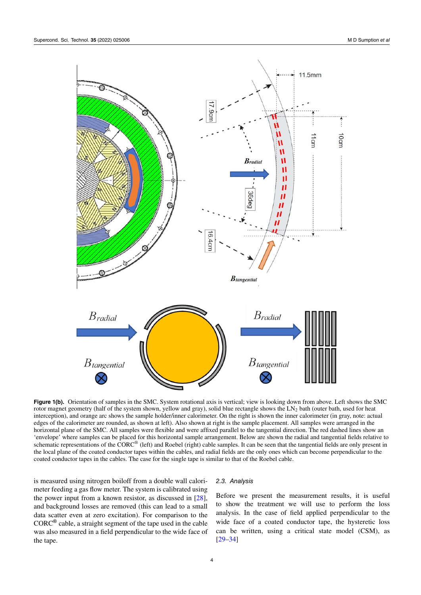

**Figure 1(b).** Orientation of samples in the SMC. System rotational axis is vertical; view is looking down from above. Left shows the SMC rotor magnet geometry (half of the system shown, yellow and gray), solid blue rectangle shows the LN<sub>2</sub> bath (outer bath, used for heat interception), and orange arc shows the sample holder/inner calorimeter. On the right is shown the inner calorimeter (in gray, note: actual edges of the calorimeter are rounded, as shown at left). Also shown at right is the sample placement. All samples were arranged in the horizontal plane of the SMC. All samples were flexible and were affixed parallel to the tangential direction. The red dashed lines show an 'envelope' where samples can be placed for this horizontal sample arrangement. Below are shown the radial and tangential fields relative to schematic representations of the  $\text{CORC}^{\circledast}$  (left) and Roebel (right) cable samples. It can be seen that the tangential fields are only present in the local plane of the coated conductor tapes within the cables, and radial fields are the only ones which can become perpendicular to the coated conductor tapes in the cables. The case for the single tape is similar to that of the Roebel cable.

is measured using nitrogen boiloff from a double wall calorimeter feeding a gas flow meter. The system is calibrated using the power input from a known resistor, as discussed in[[28\]](#page-8-22), and background losses are removed (this can lead to a small data scatter even at zero excitation). For comparison to the CORC**®** cable, a straight segment of the tape used in the cable was also measured in a field perpendicular to the wide face of the tape.

#### *2.3. Analysis*

<span id="page-3-0"></span>Before we present the measurement results, it is useful to show the treatment we will use to perform the loss analysis. In the case of field applied perpendicular to the wide face of a coated conductor tape, the hysteretic loss can be written, using a critical state model (CSM), as [[29–](#page-8-24)[34\]](#page-9-0)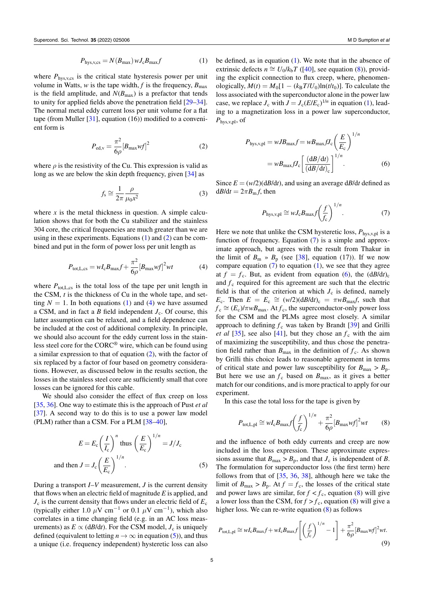where  $P_{\text{hys,v,cs}}$  is the critical state hysteresis power per unit volume in Watts, *w* is the tape width, *f* is the frequency,  $B_{\text{max}}$ is the field amplitude, and  $N(B_{\text{max}})$  is a prefactor that tends to unity for applied fields above the penetration field[[29–](#page-8-24)[34\]](#page-9-0). The normal metal eddy current loss per unit volume for a flat tape(from Muller  $[31]$  $[31]$ , equation (16)) modified to a convenient form is

<span id="page-4-0"></span>
$$
P_{\rm ed,v} = \frac{\pi^2}{6\rho} [B_{\rm max} w f]^2
$$
 (2)

where  $\rho$  is the resistivity of the Cu. This expression is valid as long as we are below the skin depth frequency, given[[34\]](#page-9-0) as

$$
f_{\rm s} \cong \frac{1}{2\pi} \frac{\rho}{\mu_0 x^2} \tag{3}
$$

where  $x$  is the metal thickness in question. A simple calculation shows that for both the Cu stabilizer and the stainless 304 core, the critical frequencies are much greater than we are using in these experiments. Equations([1\)](#page-3-0) and([2\)](#page-4-0) can be combined and put in the form of power loss per unit length as

$$
P_{\text{tot,L,cs}} = wI_c B_{\text{max}} f + \frac{\pi^2}{6\rho} [B_{\text{max}} wf]^2 wt \tag{4}
$$

where  $P_{\text{tot,L,cs}}$  is the total loss of the tape per unit length in the CSM, *t* is the thickness of Cu in the whole tape, and set-ting $N = 1$ . In both equations ([1\)](#page-3-0) and [\(4](#page-4-1)) we have assumed a CSM, and in fact a  $B$  field independent  $J_c$ . Of course, this latter assumption can be relaxed, and a field dependence can be included at the cost of additional complexity. In principle, we should also account for the eddy current loss in the stainless steel core for the CORC® wire, which can be found using a similar expression to that of equation [\(2](#page-4-0)), with the factor of six replaced by a factor of four based on geometry considerations. However, as discussed below in the results section, the losses in the stainless steel core are sufficiently small that core losses can be ignored for this cable.

We should also consider the effect of flux creep on loss [\[35](#page-9-2), [36\]](#page-9-3). One way to estimate this is the approach of Pust *et al* [\[37](#page-9-4)]. A second way to do this is to use a power law model (PLM) rather than a CSM. For a PLM[[38–](#page-9-5)[40\]](#page-9-6),

$$
E = E_{\rm c} \left(\frac{I}{I_{\rm c}}\right)^n \text{ thus } \left(\frac{E}{E_{\rm c}}\right)^{1/n} = J/J_{\rm c}
$$
  
and then  $J = J_{\rm c} \left(\frac{E}{E_{\rm c}}\right)^{1/n}$ . (5)

During a transport  $I-V$  measurement,  $J$  is the current density that flows when an electric field of magnitude *E* is applied, and  $J_c$  is the current density that flows under an electric field of  $E_c$ (typically either 1.0  $\mu$ V cm<sup>-1</sup> or 0.1  $\mu$ V cm<sup>-1</sup>), which also correlates in a time changing field (e.g. in an AC loss measurements) as  $E \propto (dB/dt)$ . For the CSM model,  $J_c$  is uniquely defined (equivalent to letting  $n \to \infty$  in equation [\(5](#page-4-2))), and thus a unique (i.e. frequency independent) hysteretic loss can also be defined, as in equation  $(1)$ . We note that in the absence of extrinsic defects  $n \approx U_0/k_bT$  ([[40\]](#page-9-6), see equation [\(8](#page-4-3))), providing the explicit connection to flux creep, where, phenomenologically,  $M(t) = M_0[1 - (k_B T/U_0) \ln(t/t_0)]$ . To calculate the loss associated with the superconductor alone in the power law case, we replace  $J_c$  with  $J = J_c (E/E_c)^{1/n}$  in equation [\(1](#page-3-0)), leading to a magnetization loss in a power law superconductor, *P*hys,v,pl, of

<span id="page-4-5"></span>
$$
P_{\text{hys,v,pl}} = wJB_{\text{max}}f = wB_{\text{max}}fJ_c \left(\frac{E}{E_c}\right)^{1/n}
$$

$$
= wB_{\text{max}}fJ_c \left[\frac{(dB/dt)}{(dB/dt)_c}\right]^{1/n}.
$$
 (6)

Since  $E = (w/2)(dB/dt)$ , and using an average  $dB/dt$  defined as  $dB/dt = 2\pi B_m f$ , then

<span id="page-4-4"></span>
$$
P_{\text{hys,v,pl}} \cong wJ_{\text{c}}B_{\text{max}}f\left(\frac{f}{f_{\text{c}}}\right)^{1/n}.\tag{7}
$$

<span id="page-4-1"></span>Here we note that unlike the CSM hysteretic loss,  $P_{\text{hys, v, pl}}$  is a function of frequency. Equation [\(7](#page-4-4)) is a simple and approximate approach, but agrees with the result from Thakur in thelimit of  $B_m \rightarrow B_p$  (see [[38\]](#page-9-5), equation (17)). If we now compareequation  $(7)$  $(7)$  to equation  $(1)$ , we see that they agree at  $f = f_c$ . But, as evident from equation [\(6](#page-4-5)), the  $(dB/dt)_c$ and  $f_c$  required for this agreement are such that the electric field is that of the criterion at which  $J_c$  is defined, namely *E*<sub>c</sub>. Then  $E = E_c \cong (w/2)(dB/dt)_c = \pi wB_{\text{max}}f$ , such that  $f_c \cong (E_c)/\pi w B_{\text{max}}$ . At  $f_c$ , the superconductor-only power loss for the CSM and the PLMs agree most closely. A similar approach to defining  $f_c$  was taken by Brandt [\[39](#page-9-7)] and Grilli *etal* [\[35](#page-9-2)], see also [[41\]](#page-9-8), but they chose an  $f_c$  with the aim of maximizing the susceptibility, and thus chose the penetration field rather than  $B_{\text{max}}$  in the definition of  $f_c$ . As shown by Grilli this choice leads to reasonable agreement in terms of critical state and power law susceptibility for  $B_{\text{max}} > B_{\text{p}}$ . But here we use an  $f_c$  based on  $B_{\text{max}}$ , as it gives a better match for our conditions, and is more practical to apply for our experiment.

In this case the total loss for the tape is given by

<span id="page-4-3"></span>
$$
P_{\text{tot},\text{L},\text{pl}} \cong wI_{\text{c}}B_{\text{max}}f\left(\frac{f}{f_{\text{c}}}\right)^{1/n} + \frac{\pi^2}{6\rho}\left[B_{\text{max}}wf\right]^2wt \qquad (8)
$$

<span id="page-4-2"></span>and the influence of both eddy currents and creep are now included in the loss expression. These approximate expressions assume that  $B_{\text{max}} > B_p$ , and that  $J_c$  is independent of *B*. The formulation for superconductor loss (the first term) here follows from that of[[35,](#page-9-2) [36,](#page-9-3) [38](#page-9-5)], although here we take the limit of  $B_{\text{max}} > B_{p}$ . At  $f = f_c$ , the losses of the critical state andpower laws are similar, for  $f < f_c$ , equation ([8\)](#page-4-3) will give alower loss than the CSM, for  $f > f_c$ , equation ([8\)](#page-4-3) will give a higher loss. We can re-write equation([8\)](#page-4-3) as follows

<span id="page-4-6"></span>
$$
P_{\text{tot,L,p1}} \cong wI_cB_{\text{max}}f + wI_cB_{\text{max}}f\left[\left(\frac{f}{f_c}\right)^{1/n} - 1\right] + \frac{\pi^2}{6\rho}[B_{\text{max}}wf]^2wt.
$$
\n(9)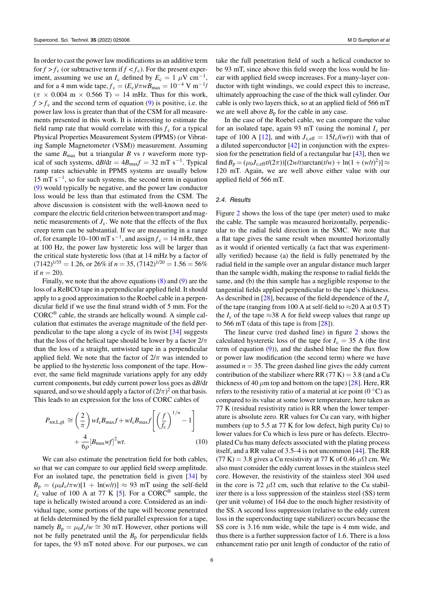In order to cast the power law modifications as an additive term for  $f > f_c$  (or subtractive term if  $f < f_c$ ). For the present experiment, assuming we use an  $I_c$  defined by  $E_c = 1 \mu V \text{ cm}^{-1}$ , and for a 4 mm wide tape,  $f_c = (E_c)/\pi w B_{\text{max}} = 10^{-4} \text{ V m}^{-1}$ /  $(\pi \times 0.004 \text{ m} \times 0.566 \text{ T}) = 14 \text{ mHz}$ . Thus for this work,  $f > f_c$  and the second term of equation [\(9](#page-4-6)) is positive, i.e. the power law loss is greater than that of the CSM for all measurements presented in this work. It is interesting to estimate the field ramp rate that would correlate with this  $f_c$  for a typical Physical Properties Measurement System (PPMS) (or Vibrating Sample Magnetometer (VSM)) measurement. Assuming the same  $B_{\text{max}}$  but a triangular *B* vs *t* waveform more typical of such systems,  $dB/dt = 4B_{\text{max}}f = 32 \text{ mT s}^{-1}$ . Typical ramp rates achievable in PPMS systems are usually below 15 mT s*−*<sup>1</sup> , so for such systems, the second term in equation [\(9](#page-4-6)) would typically be negative, and the power law conductor loss would be less than that estimated from the CSM. The above discussion is consistent with the well-known need to compare the electric field criterion between transport and magnetic measurements of  $J_c$ . We note that the effects of the flux creep term can be substantial. If we are measuring in a range of, for example  $10-100$  mT s<sup>-1</sup>, and assign  $f_c = 14$  mHz, then at 100 Hz, the power law hysteretic loss will be larger than the critical state hysteretic loss (that at 14 mHz by a factor of  $(7142)^{1/35}$  = 1.26, or 26% if *n* = 35,  $(7142)^{1/20}$  = 1.56 = 56% if  $n = 20$ ).

Finally, we note that the above equations [\(8](#page-4-3)) and([9\)](#page-4-6) are the loss of a ReBCO tape in a perpendicular applied field. It should apply to a good approximation to the Roebel cable in a perpendicular field if we use the final strand width of 5 mm. For the  $CORC<sup>®</sup>$  cable, the strands are helically wound. A simple calculation that estimates the average magnitude of the field perpendicular to the tape along a cycle of its twist[[34\]](#page-9-0) suggests that the loss of the helical tape should be lower by a factor 2/*π* than the loss of a straight, untwisted tape in a perpendicular applied field. We note that the factor of  $2/\pi$  was intended to be applied to the hysteretic loss component of the tape. However, the same field magnitude variations apply for any eddy current components, but eddy current power loss goes as d*B*/d*t* squared, and so we should apply a factor of  $(2/\pi)^2$  on that basis. This leads to an expression for the loss of CORC cables of

$$
P_{\text{tot,L,p1}} \cong \left(\frac{2}{\pi}\right) w I_{\text{c}} B_{\text{max}} f + w I_{\text{c}} B_{\text{max}} f \left[ \left(\frac{f}{f_{\text{c}}}\right)^{1/n} - 1 \right]
$$

$$
+ \frac{4}{6\rho} [B_{\text{max}} wf]^2 wt. \tag{10}
$$

We can also estimate the penetration field for both cables, so that we can compare to our applied field sweep amplitude. For an isolated tape, the penetration field is given [\[34](#page-9-0)] by  $B_p = (\mu_0 I_c / \pi w)[1 + \ln(w/t)] \approx 93$  mT using the self-field  $I_c$ value of 100 A at 77 K [[5\]](#page-8-4). For a CORC<sup>®</sup> sample, the tape is helically twisted around a core. Considered as an individual tape, some portions of the tape will become penetrated at fields determined by the field parallel expression for a tape, namely  $B_p = \mu_0 I_c/w \approx 30$  mT. However, other portions will not be fully penetrated until the  $B<sub>p</sub>$  for perpendicular fields for tapes, the 93 mT noted above. For our purposes, we can take the full penetration field of such a helical conductor to be 93 mT, since above this field sweep the loss would be linear with applied field sweep increases. For a many-layer conductor with tight windings, we could expect this to increase, ultimately approaching the case of the thick wall cylinder. Our cable is only two layers thick, so at an applied field of 566 mT we are well above  $B_p$  for the cable in any case.

In the case of the Roebel cable, we can compare the value for an isolated tape, again 93 mT (using the nominal  $I_c$  per tapeof 100 A [[12\]](#page-8-23), and with  $J_{c,eff} = 15I_c/(wt)$ ) with that of a diluted superconductor[[42\]](#page-9-9) in conjunction with the expression for the penetration field of a rectangular bar [\[43](#page-9-10)], then we  $\int \frac{1}{P}$  find *B*<sub>p</sub> = (*μ*<sub>0</sub>*J*<sub>c,eff</sub>*t*/(2*π*))[(2*w*/*t*)arctan(*t*/*w*) + ln(1 + (*w*/*t*)<sup>2</sup>)] ≈ 120 mT. Again, we are well above either value with our applied field of 566 mT.

#### *2.4. Results*

Figure [2](#page-6-0) shows the loss of the tape (per meter) used to make the cable. The sample was measured horizontally, perpendicular to the radial field direction in the SMC. We note that a flat tape gives the same result when mounted horizontally as it would if oriented vertically (a fact that was experimentally verified) because (a) the field is fully penetrated by the radial field in the sample over an angular distance much larger than the sample width, making the response to radial fields the same, and (b) the thin sample has a negligible response to the tangential fields applied perpendicular to the tape's thickness. As described in [\[28](#page-8-22)], because of the field dependence of the  $J_c$ of the tape (ranging from 100 A at self-field to *≈*20 A at 0.5 T) the  $I_c$  of the tape  $\approx$ 38 A for field sweep values that range up to 566 mT (data of this tape is from[[28\]](#page-8-22)).

<span id="page-5-0"></span>The linear curve (red dashed line) in figure [2](#page-6-0) shows the calculated hysteretic loss of the tape for  $I_c = 35$  A (the first term of equation([9\)](#page-4-6)), and the dashed blue line the flux flow or power law modification (the second term) where we have assumed  $n = 35$ . The green dashed line gives the eddy current contribution of the stabilizer where RR  $(77 K) = 3.8$  (and a Cu thickness of 40  $\mu$ m top and bottom on the tape) [\[28](#page-8-22)]. Here, RR refers to the resistivity ratio of a material at ice point (0 *◦*C) as compared to its value at some lower temperature, here taken as 77 K (residual resistivity ratio) is RR when the lower temperature is absolute zero. RR values for Cu can vary, with higher numbers (up to 5.5 at 77 K for low defect, high purity Cu) to lower values for Cu which is less pure or has defects. Electroplated Cu has many defects associated with the plating process itself, and a RR value of 3.5–4 is not uncommon [\[44](#page-9-11)]. The RR  $(77 K) = 3.8$  gives a Cu resistivity at 77 K of 0.46  $\mu\Omega$  cm. We also must consider the eddy current losses in the stainless steel core. However, the resistivity of the stainless steel 304 used in the core is 72  $\mu\Omega$  cm, such that relative to the Cu stabilizer there is a loss suppression of the stainless steel (SS) term (per unit volume) of 164 due to the much higher resistivity of the SS. A second loss suppression (relative to the eddy current loss in the superconducting tape stabilizer) occurs because the SS core is 3.16 mm wide, while the tape is 4 mm wide, and thus there is a further suppression factor of 1.6. There is a loss enhancement ratio per unit length of conductor of the ratio of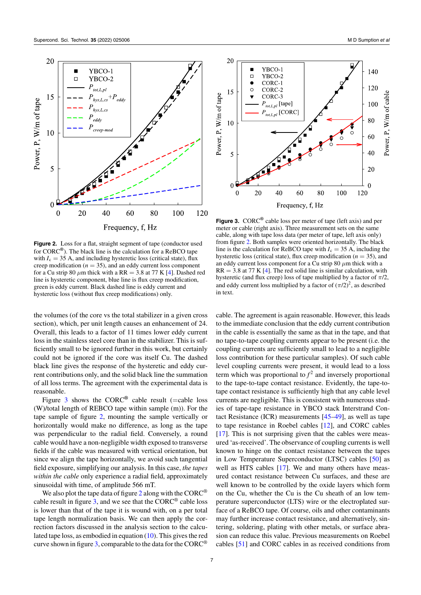<span id="page-6-0"></span>

Figure 2. Loss for a flat, straight segment of tape (conductor used for CORC**®** ). The black line is the calculation for a ReBCO tape with  $I_c = 35$  A, and including hysteretic loss (critical state), flux creep modification ( $n = 35$ ), and an eddy current loss component fora Cu strip 80  $\mu$ m thick with a RR = 3.8 at 77 K [[4](#page-8-3)]. Dashed red line is hysteretic component, blue line is flux creep modification, green is eddy current. Black dashed line is eddy current and hysteretic loss (without flux creep modifications) only.

the volumes (of the core vs the total stabilizer in a given cross section), which, per unit length causes an enhancement of 24. Overall, this leads to a factor of 11 times lower eddy current loss in the stainless steel core than in the stabilizer. This is sufficiently small to be ignored further in this work, but certainly could not be ignored if the core was itself Cu. The dashed black line gives the response of the hysteretic and eddy current contributions only, and the solid black line the summation of all loss terms. The agreement with the experimental data is reasonable.

Figure [3](#page-6-1) shows the CORC<sup>®</sup> cable result (=cable loss (W)/total length of REBCO tape within sample (m)). For the tape sample of figure [2,](#page-6-0) mounting the sample vertically or horizontally would make no difference, as long as the tape was perpendicular to the radial field. Conversely, a round cable would have a non-negligible width exposed to transverse fields if the cable was measured with vertical orientation, but since we align the tape horizontally, we avoid such tangential field exposure, simplifying our analysis. In this case, *the tapes within the cable* only experience a radial field, approximately sinusoidal with time, of amplitude 566 mT.

We also plot the tape data of figure [2](#page-6-0) along with the CORC<sup>®</sup> cable result in figure [3,](#page-6-1) and we see that the  $CORC<sup>®</sup>$  cable loss is lower than that of the tape it is wound with, on a per total tape length normalization basis. We can then apply the correction factors discussed in the analysis section to the calculated tape loss, as embodied in equation [\(10](#page-5-0)). This gives the red curve shown in figure  $3$ , comparable to the data for the CORC<sup>®</sup>

<span id="page-6-1"></span>

**Figure 3.** CORC**®** cable loss per meter of tape (left axis) and per meter or cable (right axis). Three measurement sets on the same cable, along with tape loss data (per meter of tape, left axis only) from figure [2](#page-6-0). Both samples were oriented horizontally. The black line is the calculation for ReBCO tape with  $I_c = 35$  A, including the hysteretic loss (critical state), flux creep modification ( $n = 35$ ), and an eddy current loss component for a Cu strip 80 *µ*m thick with a  $RR = 3.8$  $RR = 3.8$  $RR = 3.8$  at 77 K [[4](#page-8-3)]. The red solid line is similar calculation, with hysteretic (and flux creep) loss of tape multiplied by a factor of *π*/2, and eddy current loss multiplied by a factor of  $(\pi/2)^2$ , as described in text.

cable. The agreement is again reasonable. However, this leads to the immediate conclusion that the eddy current contribution in the cable is essentially the same as that in the tape, and that no tape-to-tape coupling currents appear to be present (i.e. the coupling currents are sufficiently small to lead to a negligible loss contribution for these particular samples). Of such cable level coupling currents were present, it would lead to a loss term which was proportional to  $f^2$  and inversely proportional to the tape-to-tape contact resistance. Evidently, the tape-totape contact resistance is sufficiently high that any cable level currents are negligible. This is consistent with numerous studies of tape-tape resistance in YBCO stack Interstrand Contact Resistance (ICR) measurements [\[45](#page-9-12)[–49](#page-9-13)], as well as tape to tape resistance in Roebel cables [\[12](#page-8-23)], and CORC cables [[17\]](#page-8-7). This is not surprising given that the cables were measured 'as-received'. The observance of coupling currents is well known to hinge on the contact resistance between the tapes in Low Temperature Superconductor (LTSC) cables [\[50](#page-9-14)] as wellas HTS cables [[17\]](#page-8-7). We and many others have measured contact resistance between Cu surfaces, and these are well known to be controlled by the oxide layers which form on the Cu, whether the Cu is the Cu sheath of an low temperature superconductor (LTS) wire or the electroplated surface of a ReBCO tape. Of course, oils and other contaminants may further increase contact resistance, and alternatively, sintering, soldering, plating with other metals, or surface abrasion can reduce this value. Previous measurements on Roebel cables[[51\]](#page-9-15) and CORC cables in as received conditions from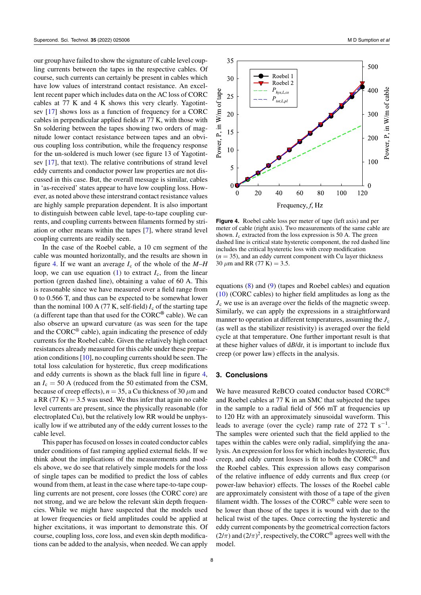our group have failed to show the signature of cable level coupling currents between the tapes in the respective cables. Of course, such currents can certainly be present in cables which have low values of interstrand contact resistance. An excellent recent paper which includes data on the AC loss of CORC cables at 77 K and 4 K shows this very clearly. Yagotintsev[[17\]](#page-8-7) shows loss as a function of frequency for a CORC cables in perpendicular applied fields at 77 K, with those with Sn soldering between the tapes showing two orders of magnitude lower contact resistance between tapes and an obvious coupling loss contribution, while the frequency response for the un-soldered is much lower (see figure 13 of Yagotintsev [\[17](#page-8-7)], that text). The relative contributions of strand level eddy currents and conductor power law properties are not discussed in this case. But, the overall message is similar, cables in 'as-received' states appear to have low coupling loss. However, as noted above these interstrand contact resistance values are highly sample preparation dependent. It is also important to distinguish between cable level, tape-to-tape coupling currents, and coupling currents between filaments formed by striation or other means within the tapes[[7\]](#page-8-14), where strand level coupling currents are readily seen.

In the case of the Roebel cable, a 10 cm segment of the cable was mounted horizontally, and the results are shown in figure [4](#page-7-0). If we want an average  $I_c$  of the whole of the  $M-H$ loop,we can use equation  $(1)$  $(1)$  to extract  $I_c$ , from the linear portion (green dashed line), obtaining a value of 60 A. This is reasonable since we have measured over a field range from 0 to 0.566 T, and thus can be expected to be somewhat lower than the nominal 100 A (77 K, self-field)  $I_c$  of the starting tape (a different tape than that used for the CORC**®** cable). We can also observe an upward curvature (as was seen for the tape and the  $CORC<sup>®</sup>$  cable), again indicating the presence of eddy currents for the Roebel cable. Given the relatively high contact resistances already measured for this cable under these preparation conditions [\[10](#page-8-9)], no coupling currents should be seen. The total loss calculation for hysteretic, flux creep modifications and eddy currents is shown as the black full line in figure [4](#page-7-0), an  $I_c = 50$  A (reduced from the 50 estimated from the CSM, because of creep effects),  $n = 35$ , a Cu thickness of 30  $\mu$ m and a RR  $(77 K) = 3.5$  was used. We thus infer that again no cable level currents are present, since the physically reasonable (for electroplated Cu), but the relatively low RR would be unphysically low if we attributed any of the eddy current losses to the cable level.

This paper has focused on losses in coated conductor cables under conditions of fast ramping applied external fields. If we think about the implications of the measurements and models above, we do see that relatively simple models for the loss of single tapes can be modified to predict the loss of cables wound from them, at least in the case where tape-to-tape coupling currents are not present, core losses (the CORC core) are not strong, and we are below the relevant skin depth frequencies. While we might have suspected that the models used at lower frequencies or field amplitudes could be applied at higher excitations, it was important to demonstrate this. Of course, coupling loss, core loss, and even skin depth modifications can be added to the analysis, when needed. We can apply

<span id="page-7-0"></span>

**Figure 4.** Roebel cable loss per meter of tape (left axis) and per meter of cable (right axis). Two measurements of the same cable are shown.  $I_c$  extracted from the loss expression is 50 A. The green dashed line is critical state hysteretic component, the red dashed line includes the critical hysteretic loss with creep modification  $(n = 35)$ , and an eddy current component with Cu layer thickness 30  $\mu$ m and RR (77 K) = 3.5.

equations [\(8](#page-4-3)) and([9\)](#page-4-6) (tapes and Roebel cables) and equation ([10\)](#page-5-0) (CORC cables) to higher field amplitudes as long as the  $J<sub>c</sub>$  we use is an average over the fields of the magnetic sweep. Similarly, we can apply the expressions in a straightforward manner to operation at different temperatures, assuming the  $J_c$ (as well as the stabilizer resistivity) is averaged over the field cycle at that temperature. One further important result is that at these higher values of d*B*/d*t*, it is important to include flux creep (or power law) effects in the analysis.

# **3. Conclusions**

We have measured ReBCO coated conductor based CORC® and Roebel cables at 77 K in an SMC that subjected the tapes in the sample to a radial field of 566 mT at frequencies up to 120 Hz with an approximately sinusoidal waveform. This leads to average (over the cycle) ramp rate of 272 T s*−*<sup>1</sup> . The samples were oriented such that the field applied to the tapes within the cables were only radial, simplifying the analysis. An expression for loss for which includes hysteretic, flux creep, and eddy current losses is fit to both the CORC® and the Roebel cables. This expression allows easy comparison of the relative influence of eddy currents and flux creep (or power-law behavior) effects. The losses of the Roebel cable are approximately consistent with those of a tape of the given filament width. The losses of the  $CORC<sup>®</sup>$  cable were seen to be lower than those of the tapes it is wound with due to the helical twist of the tapes. Once correcting the hysteretic and eddy current components by the geometrical correction factors  $(2/\pi)$  and  $(2/\pi)^2$ , respectively, the CORC<sup>®</sup> agrees well with the model.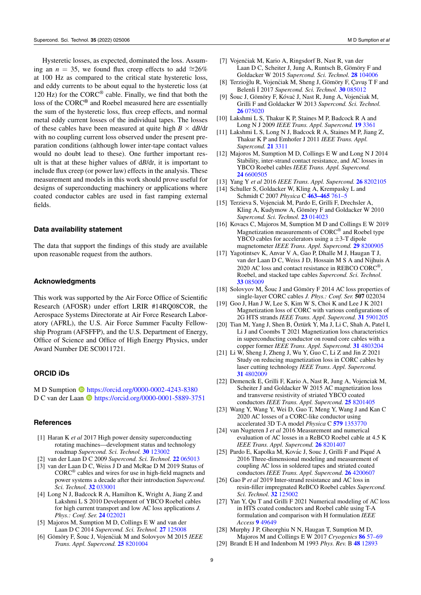Hysteretic losses, as expected, dominated the loss. Assuming an *n* = 35, we found flux creep effects to add  $\approx 26\%$ at 100 Hz as compared to the critical state hysteretic loss, and eddy currents to be about equal to the hysteretic loss (at 120 Hz) for the  $CORC<sup>®</sup>$  cable. Finally, we find that both the loss of the CORC**®** and Roebel measured here are essentially the sum of the hysteretic loss, flux creep effects, and normal metal eddy current losses of the individual tapes. The losses of these cables have been measured at quite high  $B \times dB/dt$ with no coupling current loss observed under the present preparation conditions (although lower inter-tape contact values would no doubt lead to these). One further important result is that at these higher values of d*B*/d*t*, it is important to include flux creep (or power law) effects in the analysis. These measurement and models in this work should prove useful for designs of superconducting machinery or applications where coated conductor cables are used in fast ramping external fields.

#### **Data availability statement**

The data that support the findings of this study are available upon reasonable request from the authors.

## **Acknowledgments**

This work was supported by the Air Force Office of Scientific Research (AFOSR) under effort LRIR #14RQ08COR, the Aerospace Systems Directorate at Air Force Research Laboratory (AFRL), the U.S. Air Force Summer Faculty Fellowship Program (AFSFFP), and the U.S. Department of Energy, Office of Science and Office of High Energy Physics, under Award Number DE SC0011721.

#### **ORCID iDs**

M D Sumption  $\bullet$  <https://orcid.org/0000-0002-4243-8380> D C van der Laan **b** <https://orcid.org/0000-0001-5889-3751>

#### **References**

- <span id="page-8-0"></span>[1] Haran K *et al* 2017 High power density superconducting rotating machines—development status and technology roadmap *Supercond. Sci. Technol.* **[30](https://doi.org/10.1088/1361-6668/aa833e)** [123002](https://doi.org/10.1088/1361-6668/aa833e)
- <span id="page-8-1"></span>[2] van der Laan D C 2009 *Supercond. Sci. Technol.* **[22](https://doi.org/10.1088/0953-2048/22/6/065013)** [065013](https://doi.org/10.1088/0953-2048/22/6/065013)
- <span id="page-8-2"></span>[3] van der Laan D C, Weiss J D and McRae D M 2019 Status of  $\text{CORC}^{\circledast}$  cables and wires for use in high-field magnets and power systems a decade after their introduction *Supercond. Sci. Technol.* **[32](https://doi.org/10.1088/1361-6668/aafc82)** [033001](https://doi.org/10.1088/1361-6668/aafc82)
- <span id="page-8-3"></span>[4] Long N J, Badcock R A, Hamilton K, Wright A, Jiang Z and Lakshmi L S 2010 Development of YBCO Roebel cables for high current transport and low AC loss applications *J. Phys.: Conf. Ser.* **[24](https://doi.org/10.1088/1742-6596/234/2/022021)** [022021](https://doi.org/10.1088/1742-6596/234/2/022021)
- <span id="page-8-4"></span>[5] Majoros M, Sumption M D, Collings E W and van der Laan D C 2014 *Supercond. Sci. Technol.* **[27](https://doi.org/10.1088/0953-2048/27/12/125008)** [125008](https://doi.org/10.1088/0953-2048/27/12/125008)
- [6] Gömöry F, Šouc J, Vojenčiak M and Solovyov M 2015 *IEEE Trans. Appl. Supercond.* **[25](https://doi.org/10.1109/TASC.2014.2376189)** [8201004](https://doi.org/10.1109/TASC.2014.2376189)
- <span id="page-8-14"></span>[7] Vojenčiak M, Kario A, Ringsdorf B, Nast R, van der Laan D C, Scheiter J, Jung A, Runtsch B, Gömöry F and Goldacker W 2015 *Supercond. Sci. Technol.* **[28](https://doi.org/10.1088/0953-2048/28/10/104006)** [104006](https://doi.org/10.1088/0953-2048/28/10/104006)
- <span id="page-8-12"></span>[8] Terzioğlu R, Vojenčiak M, Sheng J, Gömöry F, Çavuş T F and Belenli ˙I 2017 *Supercond. Sci. Technol.* **[30](https://doi.org/10.1088/1361-6668/aa757d)** [085012](https://doi.org/10.1088/1361-6668/aa757d)
- <span id="page-8-8"></span>[9] Šouc J, Gömöry F, Kóvač J, Nast R, Jung A, Vojenčiak M, Grilli F and Goldacker W 2013 *Supercond. Sci. Technol.* **[26](https://doi.org/10.1088/0953-2048/26/7/075020)** [075020](https://doi.org/10.1088/0953-2048/26/7/075020)
- <span id="page-8-9"></span>[10] Lakshmi L S, Thakur K P, Staines M P, Badcock R A and Long N J 2009 *IEEE Trans. Appl. Supercond.* **[19](https://doi.org/10.1109/TASC.2009.2018798)** [3361](https://doi.org/10.1109/TASC.2009.2018798)
- [11] Lakshmi L S, Long N J, Badcock R A, Staines M P, Jiang Z, Thakur K P and Emhofer J 2011 *IEEE Trans. Appl. Supercond.* **[21](https://doi.org/10.1109/TASC.2010.2088369)** [3311](https://doi.org/10.1109/TASC.2010.2088369)
- <span id="page-8-23"></span>[12] Majoros M, Sumption M D, Collings E W and Long N J 2014 Stability, inter-strand contact resistance, and AC losses in YBCO Roebel cables *IEEE Trans. Appl. Supercond.* **[24](https://doi.org/10.1109/TASC.2013.2283472)** [6600505](https://doi.org/10.1109/TASC.2013.2283472)
- [13] Yang Y *et al* 2016 *IEEE Trans. Appl. Supercond.* **[26](https://doi.org/10.1109/TASC.2016.2525926)** [8202105](https://doi.org/10.1109/TASC.2016.2525926)
- [14] Schuller S, Goldacker W, Kling A, Krempasky L and Schmidt C 2007 *Physica* C **[463–465](https://doi.org/10.1016/j.physc.2007.01.063)** [761–5](https://doi.org/10.1016/j.physc.2007.01.063)
- <span id="page-8-5"></span>[15] Terzieva S, Vojenciak M, Pardo E, Grilli F, Drechsler A, Kling A, Kudymow A, Gömöry F and Goldacker W 2010 *Supercond. Sci. Technol.* **[23](https://doi.org/10.1088/0953-2048/23/1/014023)** [014023](https://doi.org/10.1088/0953-2048/23/1/014023)
- <span id="page-8-6"></span>[16] Kovacs C, Majoros M, Sumption M D and Collings E W 2019 Magnetization measurements of CORC<sup>®</sup> and Roebel type YBCO cables for accelerators using a *±*3-T dipole magnetometer *IEEE Trans. Appl. Supercond.* **[29](https://doi.org/10.1109/TASC.2019.2898254)** [8200905](https://doi.org/10.1109/TASC.2019.2898254)
- <span id="page-8-7"></span>[17] Yagotintsev K, Anvar V A, Gao P, Dhalle M J, Haugan T J, van der Laan D C, Weiss J D, Hossain M S A and Nijhuis A 2020 AC loss and contact resistance in REBCO CORC<sup>®</sup>, Roebel, and stacked tape cables *Supercond. Sci. Technol.* **[33](https://doi.org/10.1088/1361-6668/ab97ff)** [085009](https://doi.org/10.1088/1361-6668/ab97ff)
- <span id="page-8-10"></span>[18] Solovyov M, Šouc J and Gömöry F 2014 AC loss properties of single-layer CORC cables *J. Phys.: Conf. Ser.* **507** 022034
- <span id="page-8-11"></span>[19] Goo J, Han J W, Lee S, Kim W S, Choi K and Lee J K 2021 Magnetization loss of CORC with various configurations of 2G HTS strands *IEEE Trans. Appl. Supercond.* **[31](https://doi.org/10.1109/TASC.2021.3067810)** [5901205](https://doi.org/10.1109/TASC.2021.3067810)
- <span id="page-8-13"></span>[20] Tian M, Yang J, Shen B, Öztürk Y, Ma J, Li C, Shah A, Patel I, Li J and Coombs T 2021 Magnetization loss characteristics in superconducting conductor on round core cables with a copper former *IEEE Trans. Appl. Supercond.* **[31](https://doi.org/10.1109/TASC.2021.3089110)** [4803204](https://doi.org/10.1109/TASC.2021.3089110)
- <span id="page-8-15"></span>[21] Li W, Sheng J, Zheng J, Wu Y, Guo C, Li Z and Jin Z 2021 Study on reducing magnetization loss in CORC cables by laser cutting technology *IEEE Trans. Appl. Supercond.* **[31](https://doi.org/10.1109/TASC.2021.3071827)** [4802009](https://doi.org/10.1109/TASC.2021.3071827)
- <span id="page-8-16"></span>[22] Demencík E, Grilli F, Kario A, Nast R, Jung A, Vojenciak M, Scheiter J and Goldacker W 2015 AC magnetization loss and transverse resistivity of striated YBCO coated conductors *IEEE Trans. Appl. Supercond.* **[25](https://doi.org/10.1109/TASC.2014.2381561)** [8201405](https://doi.org/10.1109/TASC.2014.2381561)
- <span id="page-8-17"></span>[23] Wang Y, Wang Y, Wei D, Guo T, Meng Y, Wang J and Kan C 2020 AC losses of a CORC-like conductor using accelerated 3D T-A model *Physica* C **[579](https://doi.org/10.1016/j.physc.2020.1353770)** [1353770](https://doi.org/10.1016/j.physc.2020.1353770)
- <span id="page-8-18"></span>[24] van Nugteren J *et al* 2016 Measurement and numerical evaluation of AC losses in a ReBCO Roebel cable at 4.5 K *IEEE Trans. Appl. Supercond.* **[26](https://doi.org/10.1109/TASC.2016.2525919)** [8201407](https://doi.org/10.1109/TASC.2016.2525919)
- <span id="page-8-19"></span>[25] Pardo E, Kapolka M, Kovác J, Souc J, Grilli F and Piqué A 2016 Three-dimensional modeling and measurement of coupling AC loss in soldered tapes and striated coated conductors *IEEE Trans. Appl. Supercond.* **[26](https://doi.org/10.1109/TASC.2016.2523758)** [4200607](https://doi.org/10.1109/TASC.2016.2523758)
- <span id="page-8-20"></span>[26] Gao P *et al* 2019 Inter-strand resistance and AC loss in resin-filler impregnated ReBCO Roebel cables *Supercond. Sci. Technol.* **[32](https://doi.org/10.1088/1361-6668/ab4665)** [125002](https://doi.org/10.1088/1361-6668/ab4665)
- <span id="page-8-21"></span>[27] Yan Y, Qu T and Grilli F 2021 Numerical modeling of AC loss in HTS coated conductors and Roebel cable using T-A formulation and comparison with H formulation *IEEE Access* **[9](https://doi.org/10.1109/ACCESS.2021.3067037)** [49649](https://doi.org/10.1109/ACCESS.2021.3067037)
- <span id="page-8-22"></span>[28] Murphy J P, Gheorghiu N N, Haugan T, Sumption M D, Majoros M and Collings E W 2017 *Cryogenics* **[86](https://doi.org/10.1016/j.cryogenics.2017.07.010)** [57–69](https://doi.org/10.1016/j.cryogenics.2017.07.010)
- <span id="page-8-24"></span>[29] Brandt E H and Indenbom M 1993 *Phys. Rev.* B **[48](https://doi.org/10.1103/PhysRevB.48.12893)** [12893](https://doi.org/10.1103/PhysRevB.48.12893)